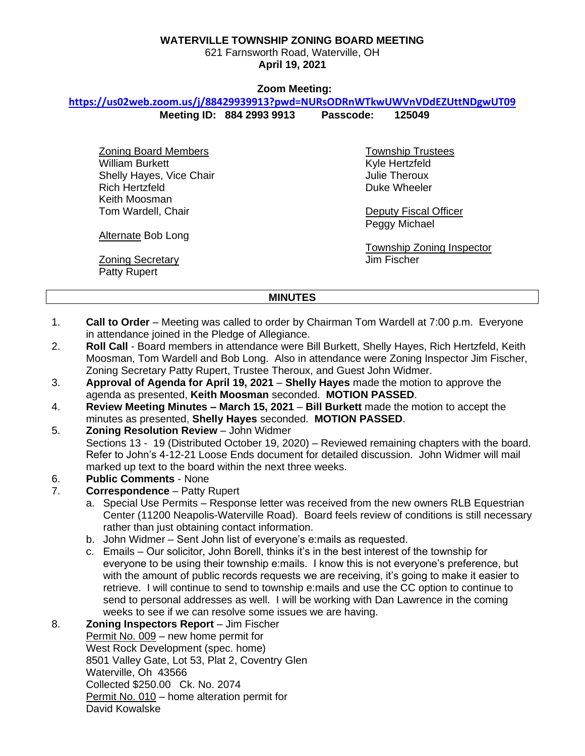#### **WATERVILLE TOWNSHIP ZONING BOARD MEETING**

621 Farnsworth Road, Waterville, OH **April 19, 2021**

#### **Zoom Meeting:**

### **<https://us02web.zoom.us/j/88429939913?pwd=NURsODRnWTkwUWVnVDdEZUttNDgwUT09>**

**Meeting ID: 884 2993 9913 Passcode: 125049**

Zoning Board Members William Burkett Shelly Hayes, Vice Chair Rich Hertzfeld Keith Moosman Tom Wardell, Chair

Township Trustees Kyle Hertzfeld Julie Theroux Duke Wheeler

Deputy Fiscal Officer Peggy Michael

Township Zoning Inspector Jim Fischer

**Alternate Bob Long** 

Zoning Secretary Patty Rupert

#### **MINUTES**

- 1. **Call to Order** Meeting was called to order by Chairman Tom Wardell at 7:00 p.m. Everyone in attendance joined in the Pledge of Allegiance.
- 2. **Roll Call** Board members in attendance were Bill Burkett, Shelly Hayes, Rich Hertzfeld, Keith Moosman, Tom Wardell and Bob Long. Also in attendance were Zoning Inspector Jim Fischer, Zoning Secretary Patty Rupert, Trustee Theroux, and Guest John Widmer.
- 3. **Approval of Agenda for April 19, 2021 Shelly Hayes** made the motion to approve the agenda as presented, **Keith Moosman** seconded. **MOTION PASSED**.
- 4. **Review Meeting Minutes – March 15, 2021 Bill Burkett** made the motion to accept the minutes as presented, **Shelly Hayes** seconded. **MOTION PASSED**.
- 5. **Zoning Resolution Review** John Widmer Sections 13 - 19 (Distributed October 19, 2020) – Reviewed remaining chapters with the board. Refer to John's 4-12-21 Loose Ends document for detailed discussion. John Widmer will mail marked up text to the board within the next three weeks.
- 6. **Public Comments** None
- 7. **Correspondence** Patty Rupert
	- a. Special Use Permits Response letter was received from the new owners RLB Equestrian Center (11200 Neapolis-Waterville Road). Board feels review of conditions is still necessary rather than just obtaining contact information.
	- b. John Widmer Sent John list of everyone's e:mails as requested.
	- c. Emails Our solicitor, John Borell, thinks it's in the best interest of the township for everyone to be using their township e:mails. I know this is not everyone's preference, but with the amount of public records requests we are receiving, it's going to make it easier to retrieve. I will continue to send to township e:mails and use the CC option to continue to send to personal addresses as well. I will be working with Dan Lawrence in the coming weeks to see if we can resolve some issues we are having.

8. **Zoning Inspectors Report** – Jim Fischer Permit No. 009 – new home permit for West Rock Development (spec. home) 8501 Valley Gate, Lot 53, Plat 2, Coventry Glen Waterville, Oh 43566 Collected \$250.00 Ck. No. 2074 Permit No. 010 – home alteration permit for David Kowalske